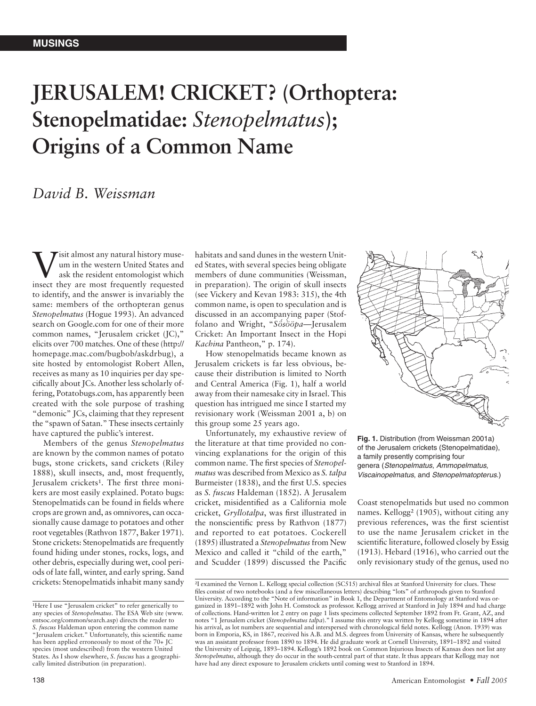## **JERUSALEM! CRICKET? (Orthoptera: Stenopelmatidae:** *Stenopelmatus***); Origins of a Common Name**

## *David B. Weissman*

**V** is almost any natural history muse-<br>
um in the western United States and<br>
ask the resident entomologist which<br>
insect they requested um in the western United States and ask the resident entomologist which insect they are most frequently requested to identify, and the answer is invariably the same: members of the orthopteran genus *Stenopelmatus* (Hogue 1993). An advanced search on Google.com for one of their more common names, "Jerusalem cricket (JC)," elicits over 700 matches. One of these (http:// homepage.mac.com/bugbob/askdrbug), a site hosted by entomologist Robert Allen, receives as many as 10 inquiries per day specifically about JCs. Another less scholarly offering, Potatobugs.com, has apparently been created with the sole purpose of trashing "demonic" JCs, claiming that they represent the "spawn of Satan." These insects certainly have captured the public's interest.

Members of the genus *Stenopelmatus* are known by the common names of potato bugs, stone crickets, sand crickets (Riley 1888), skull insects, and, most frequently, Jerusalem crickets<sup>1</sup>. The first three monikers are most easily explained. Potato bugs: Stenopelmatids can be found in fields where crops are grown and, as omnivores, can occasionally cause damage to potatoes and other root vegetables (Rathvon 1877, Baker 1971). Stone crickets: Stenopelmatids are frequently found hiding under stones, rocks, logs, and other debris, especially during wet, cool periods of late fall, winter, and early spring. Sand crickets: Stenopelmatids inhabit many sandy

habitats and sand dunes in the western United States, with several species being obligate members of dune communities (Weissman, in preparation). The origin of skull insects (see Vickery and Kevan 1983: 315), the 4th common name, is open to speculation and is discussed in an accompanying paper (Stoffolano and Wright, "*Sös´ ööpa `* —Jerusalem Cricket: An Important Insect in the Hopi *Kachina* Pantheon," p. 174).

How stenopelmatids became known as Jerusalem crickets is far less obvious, because their distribution is limited to North and Central America (Fig. 1), half a world away from their namesake city in Israel. This question has intrigued me since I started my revisionary work (Weissman 2001 a, b) on this group some 25 years ago.

Unfortunately, my exhaustive review of the literature at that time provided no convincing explanations for the origin of this common name. The first species of *Stenopelmatus* was described from Mexico as *S. talpa* Burmeister (1838), and the first U.S. species as *S. fuscus* Haldeman (1852). A Jerusalem cricket, misidentified as a California mole cricket, *Gryllotalpa*, was first illustrated in the nonscientific press by Rathvon (1877) and reported to eat potatoes. Cockerell (1895) illustrated a *Stenopelmatus* from New Mexico and called it "child of the earth," and Scudder (1899) discussed the Pacific



**Fig. 1.** Distribution (from Weissman 2001a) of the Jerusalem crickets (Stenopelmatidae), a family presently comprising four genera (Stenopelmatus, Ammopelmatus, Viscainopelmatus, and Stenopelmatopterus.)

Coast stenopelmatids but used no common names. Kellogg² (1905), without citing any previous references, was the first scientist to use the name Jerusalem cricket in the scientific literature, followed closely by Essig (1913). Hebard (1916), who carried out the only revisionary study of the genus, used no

<sup>&</sup>lt;sup>1</sup>Here I use "Jerusalem cricket" to refer generically to any species of *Stenopelmatus*. The ESA Web site (www. entsoc.org/common/search.asp) directs the reader to *S. fuscus* Haldeman upon entering the common name "Jerusalem cricket." Unfortunately, this scientific name has been applied erroneously to most of the 70+ JC species (most undescribed) from the western United States. As I show elsewhere, *S*. *fuscus* has a geographically limited distribution (in preparation).

²I examined the Vernon L. Kellogg special collection (SC515) archival files at Stanford University for clues. These files consist of two notebooks (and a few miscellaneous letters) describing "lots" of arthropods given to Stanford University. According to the "Note of information" in Book 1, the Department of Entomology at Stanford was organized in 1891–1892 with John H. Comstock as professor. Kellogg arrived at Stanford in July 1894 and had charge of collections. Hand-written lot 2 entry on page 1 lists specimens collected September 1892 from Ft. Grant, AZ, and notes "1 Jerusalem cricket (*Stenopelmatus talpa*)." I assume this entry was written by Kellogg sometime in 1894 after his arrival, as lot numbers are sequential and interspersed with chronological field notes. Kellogg (Anon. 1939) was born in Emporia, KS, in 1867, received his A.B. and M.S. degrees from University of Kansas, where he subsequently was an assistant professor from 1890 to 1894. He did graduate work at Cornell University, 1891–1892 and visited the University of Leipzig, 1893–1894. Kellogg's 1892 book on Common Injurious Insects of Kansas does not list any *Stenopelmatus*, although they do occur in the south-central part of that state. It thus appears that Kellogg may not have had any direct exposure to Jerusalem crickets until coming west to Stanford in 1894.